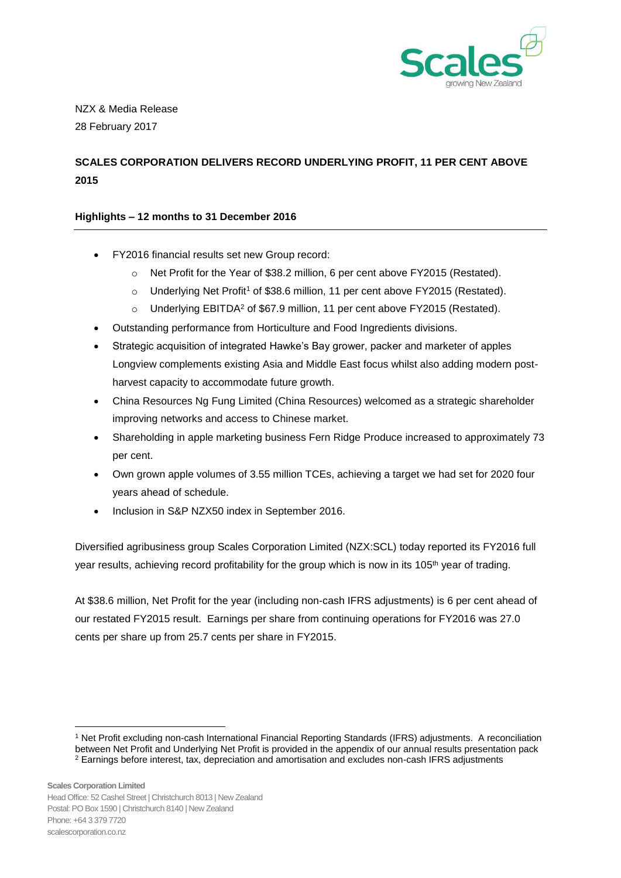

NZX & Media Release 28 February 2017

# **SCALES CORPORATION DELIVERS RECORD UNDERLYING PROFIT, 11 PER CENT ABOVE 2015**

# **Highlights – 12 months to 31 December 2016**

- FY2016 financial results set new Group record:
	- o Net Profit for the Year of \$38.2 million, 6 per cent above FY2015 (Restated).
	- o Underlying Net Profit<sup>1</sup> of \$38.6 million, 11 per cent above FY2015 (Restated).
	- o Underlying EBITDA<sup>2</sup> of \$67.9 million, 11 per cent above FY2015 (Restated).
- Outstanding performance from Horticulture and Food Ingredients divisions.
- Strategic acquisition of integrated Hawke's Bay grower, packer and marketer of apples Longview complements existing Asia and Middle East focus whilst also adding modern postharvest capacity to accommodate future growth.
- China Resources Ng Fung Limited (China Resources) welcomed as a strategic shareholder improving networks and access to Chinese market.
- Shareholding in apple marketing business Fern Ridge Produce increased to approximately 73 per cent.
- Own grown apple volumes of 3.55 million TCEs, achieving a target we had set for 2020 four years ahead of schedule.
- Inclusion in S&P NZX50 index in September 2016.

Diversified agribusiness group Scales Corporation Limited (NZX:SCL) today reported its FY2016 full year results, achieving record profitability for the group which is now in its 105<sup>th</sup> year of trading.

At \$38.6 million, Net Profit for the year (including non-cash IFRS adjustments) is 6 per cent ahead of our restated FY2015 result. Earnings per share from continuing operations for FY2016 was 27.0 cents per share up from 25.7 cents per share in FY2015.

1

<sup>1</sup> Net Profit excluding non-cash International Financial Reporting Standards (IFRS) adjustments. A reconciliation between Net Profit and Underlying Net Profit is provided in the appendix of our annual results presentation pack <sup>2</sup> Earnings before interest, tax, depreciation and amortisation and excludes non-cash IFRS adjustments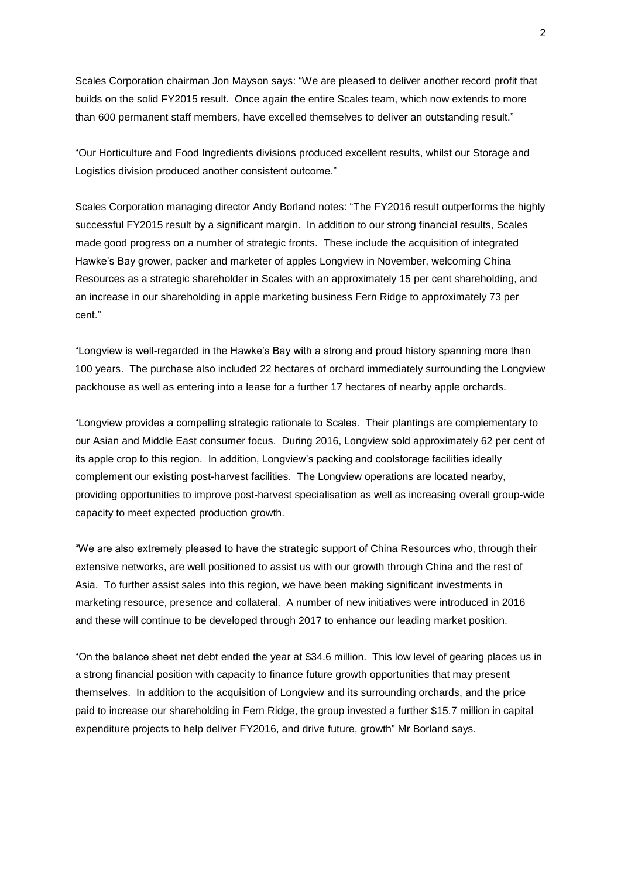Scales Corporation chairman Jon Mayson says: "We are pleased to deliver another record profit that builds on the solid FY2015 result. Once again the entire Scales team, which now extends to more than 600 permanent staff members, have excelled themselves to deliver an outstanding result."

"Our Horticulture and Food Ingredients divisions produced excellent results, whilst our Storage and Logistics division produced another consistent outcome."

Scales Corporation managing director Andy Borland notes: "The FY2016 result outperforms the highly successful FY2015 result by a significant margin. In addition to our strong financial results, Scales made good progress on a number of strategic fronts. These include the acquisition of integrated Hawke's Bay grower, packer and marketer of apples Longview in November, welcoming China Resources as a strategic shareholder in Scales with an approximately 15 per cent shareholding, and an increase in our shareholding in apple marketing business Fern Ridge to approximately 73 per cent."

"Longview is well-regarded in the Hawke's Bay with a strong and proud history spanning more than 100 years. The purchase also included 22 hectares of orchard immediately surrounding the Longview packhouse as well as entering into a lease for a further 17 hectares of nearby apple orchards.

"Longview provides a compelling strategic rationale to Scales. Their plantings are complementary to our Asian and Middle East consumer focus. During 2016, Longview sold approximately 62 per cent of its apple crop to this region. In addition, Longview's packing and coolstorage facilities ideally complement our existing post-harvest facilities. The Longview operations are located nearby, providing opportunities to improve post-harvest specialisation as well as increasing overall group-wide capacity to meet expected production growth.

"We are also extremely pleased to have the strategic support of China Resources who, through their extensive networks, are well positioned to assist us with our growth through China and the rest of Asia. To further assist sales into this region, we have been making significant investments in marketing resource, presence and collateral. A number of new initiatives were introduced in 2016 and these will continue to be developed through 2017 to enhance our leading market position.

"On the balance sheet net debt ended the year at \$34.6 million. This low level of gearing places us in a strong financial position with capacity to finance future growth opportunities that may present themselves. In addition to the acquisition of Longview and its surrounding orchards, and the price paid to increase our shareholding in Fern Ridge, the group invested a further \$15.7 million in capital expenditure projects to help deliver FY2016, and drive future, growth" Mr Borland says.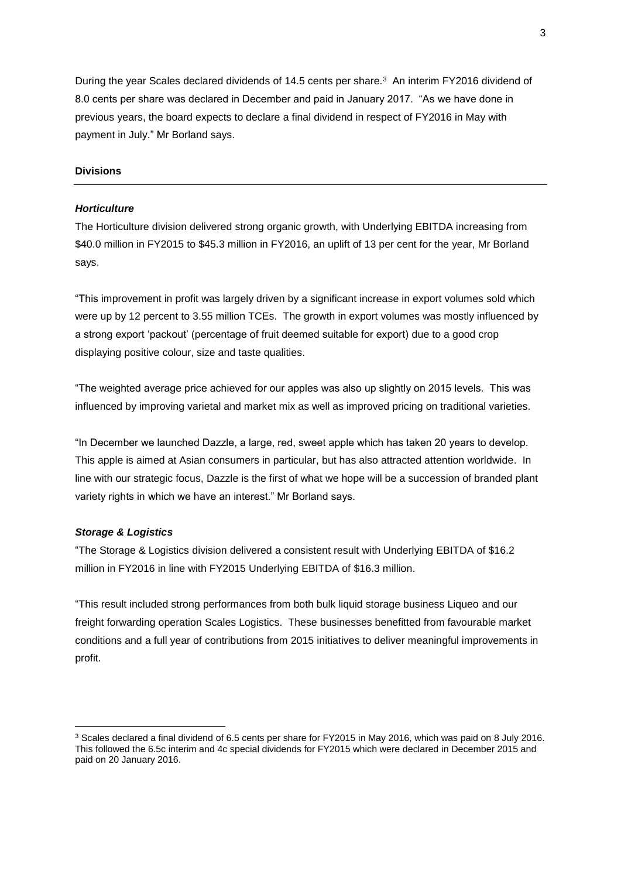During the year Scales declared dividends of 14.5 cents per share.<sup>3</sup> An interim FY2016 dividend of 8.0 cents per share was declared in December and paid in January 2017. "As we have done in previous years, the board expects to declare a final dividend in respect of FY2016 in May with payment in July." Mr Borland says.

## **Divisions**

#### *Horticulture*

The Horticulture division delivered strong organic growth, with Underlying EBITDA increasing from \$40.0 million in FY2015 to \$45.3 million in FY2016, an uplift of 13 per cent for the year, Mr Borland says.

"This improvement in profit was largely driven by a significant increase in export volumes sold which were up by 12 percent to 3.55 million TCEs. The growth in export volumes was mostly influenced by a strong export 'packout' (percentage of fruit deemed suitable for export) due to a good crop displaying positive colour, size and taste qualities.

"The weighted average price achieved for our apples was also up slightly on 2015 levels. This was influenced by improving varietal and market mix as well as improved pricing on traditional varieties.

"In December we launched Dazzle, a large, red, sweet apple which has taken 20 years to develop. This apple is aimed at Asian consumers in particular, but has also attracted attention worldwide. In line with our strategic focus, Dazzle is the first of what we hope will be a succession of branded plant variety rights in which we have an interest." Mr Borland says.

#### *Storage & Logistics*

1

"The Storage & Logistics division delivered a consistent result with Underlying EBITDA of \$16.2 million in FY2016 in line with FY2015 Underlying EBITDA of \$16.3 million.

"This result included strong performances from both bulk liquid storage business Liqueo and our freight forwarding operation Scales Logistics. These businesses benefitted from favourable market conditions and a full year of contributions from 2015 initiatives to deliver meaningful improvements in profit.

<sup>3</sup> Scales declared a final dividend of 6.5 cents per share for FY2015 in May 2016, which was paid on 8 July 2016. This followed the 6.5c interim and 4c special dividends for FY2015 which were declared in December 2015 and paid on 20 January 2016.